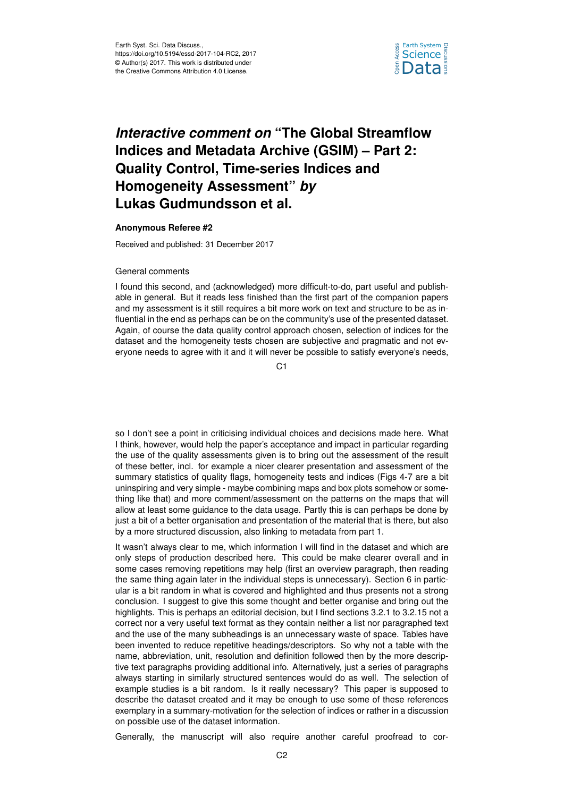

# *Interactive comment on* **"The Global Streamflow Indices and Metadata Archive (GSIM) – Part 2: Quality Control, Time-series Indices and Homogeneity Assessment"** *by* **Lukas Gudmundsson et al.**

## **Anonymous Referee #2**

Received and published: 31 December 2017

#### General comments

I found this second, and (acknowledged) more difficult-to-do, part useful and publishable in general. But it reads less finished than the first part of the companion papers and my assessment is it still requires a bit more work on text and structure to be as influential in the end as perhaps can be on the community's use of the presented dataset. Again, of course the data quality control approach chosen, selection of indices for the dataset and the homogeneity tests chosen are subjective and pragmatic and not everyone needs to agree with it and it will never be possible to satisfy everyone's needs,

C1

so I don't see a point in criticising individual choices and decisions made here. What I think, however, would help the paper's acceptance and impact in particular regarding the use of the quality assessments given is to bring out the assessment of the result of these better, incl. for example a nicer clearer presentation and assessment of the summary statistics of quality flags, homogeneity tests and indices (Figs 4-7 are a bit uninspiring and very simple - maybe combining maps and box plots somehow or something like that) and more comment/assessment on the patterns on the maps that will allow at least some guidance to the data usage. Partly this is can perhaps be done by just a bit of a better organisation and presentation of the material that is there, but also by a more structured discussion, also linking to metadata from part 1.

It wasn't always clear to me, which information I will find in the dataset and which are only steps of production described here. This could be make clearer overall and in some cases removing repetitions may help (first an overview paragraph, then reading the same thing again later in the individual steps is unnecessary). Section 6 in particular is a bit random in what is covered and highlighted and thus presents not a strong conclusion. I suggest to give this some thought and better organise and bring out the highlights. This is perhaps an editorial decision, but I find sections 3.2.1 to 3.2.15 not a correct nor a very useful text format as they contain neither a list nor paragraphed text and the use of the many subheadings is an unnecessary waste of space. Tables have been invented to reduce repetitive headings/descriptors. So why not a table with the name, abbreviation, unit, resolution and definition followed then by the more descriptive text paragraphs providing additional info. Alternatively, just a series of paragraphs always starting in similarly structured sentences would do as well. The selection of example studies is a bit random. Is it really necessary? This paper is supposed to describe the dataset created and it may be enough to use some of these references exemplary in a summary-motivation for the selection of indices or rather in a discussion on possible use of the dataset information.

Generally, the manuscript will also require another careful proofread to cor-